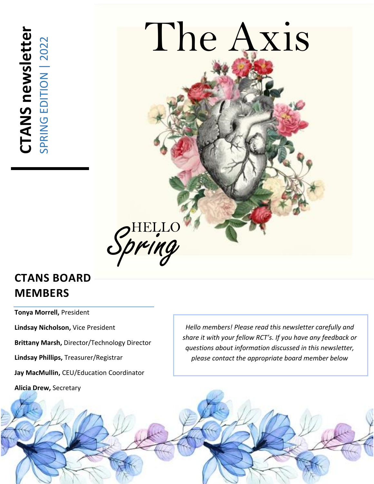**CTANS newsletter CTANS newsletter**<br>SPRING EDITION | 2022 SPRING EDITION | 2022



# **CTANS BOARD MEMBERS**

**Tonya Morrell,** President

**Lindsay Nicholson,** Vice President

**Brittany Marsh,** Director/Technology Director

**Lindsay Phillips,** Treasurer/Registrar

**Jay MacMullin,** CEU/Education Coordinator

**Alicia Drew,** Secretary

*Hello members! Please read this newsletter carefully and share it with your fellow RCT's. If you have any feedback or questions about information discussed in this newsletter, please contact the appropriate board member below*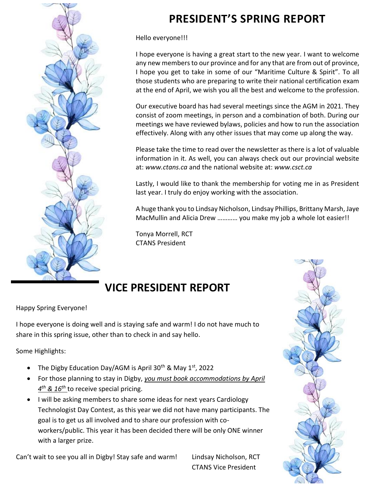

# **PRESIDENT'S SPRING REPORT**

Hello everyone!!!

I hope everyone is having a great start to the new year. I want to welcome any new members to our province and for any that are from out of province, I hope you get to take in some of our "Maritime Culture & Spirit". To all those students who are preparing to write their national certification exam at the end of April, we wish you all the best and welcome to the profession.

Our executive board has had several meetings since the AGM in 2021. They consist of zoom meetings, in person and a combination of both. During our meetings we have reviewed bylaws, policies and how to run the association effectively. Along with any other issues that may come up along the way.

Please take the time to read over the newsletter as there is a lot of valuable information in it. As well, you can always check out our provincial website at: *www.ctans.ca* and the national website at: *www.csct.ca*

Lastly, I would like to thank the membership for voting me in as President last year. I truly do enjoy working with the association.

A huge thank you to Lindsay Nicholson, Lindsay Phillips, Brittany Marsh, Jaye MacMullin and Alicia Drew ………… you make my job a whole lot easier!!

Tonya Morrell, RCT CTANS President

# **VICE PRESIDENT REPORT**

Happy Spring Everyone!

I hope everyone is doing well and is staying safe and warm! I do not have much to share in this spring issue, other than to check in and say hello.

Some Highlights:

- The Digby Education Day/AGM is April 30<sup>th</sup> & May 1<sup>st</sup>, 2022
- For those planning to stay in Digby, *you must book accommodations by April 4 th & 16th* to receive special pricing.
- I will be asking members to share some ideas for next years Cardiology Technologist Day Contest, as this year we did not have many participants. The goal is to get us all involved and to share our profession with coworkers/public. This year it has been decided there will be only ONE winner with a larger prize.

Can't wait to see you all in Digby! Stay safe and warm! Lindsay Nicholson, RCT

CTANS Vice President

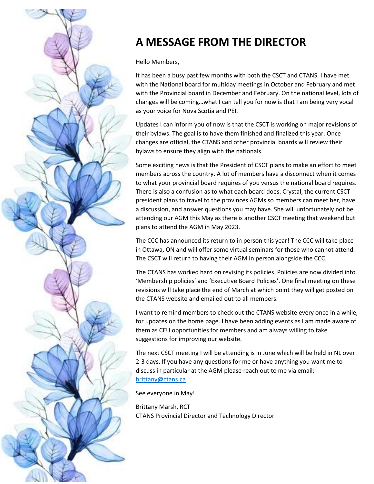

# **A MESSAGE FROM THE DIRECTOR**

Hello Members,

It has been a busy past few months with both the CSCT and CTANS. I have met with the National board for multiday meetings in October and February and met with the Provincial board in December and February. On the national level, lots of changes will be coming…what I can tell you for now is that I am being very vocal as your voice for Nova Scotia and PEI.

Updates I can inform you of now is that the CSCT is working on major revisions of their bylaws. The goal is to have them finished and finalized this year. Once changes are official, the CTANS and other provincial boards will review their bylaws to ensure they align with the nationals.

Some exciting news is that the President of CSCT plans to make an effort to meet members across the country. A lot of members have a disconnect when it comes to what your provincial board requires of you versus the national board requires. There is also a confusion as to what each board does. Crystal, the current CSCT president plans to travel to the provinces AGMs so members can meet her, have a discussion, and answer questions you may have. She will unfortunately not be attending our AGM this May as there is another CSCT meeting that weekend but plans to attend the AGM in May 2023.

The CCC has announced its return to in person this year! The CCC will take place in Ottawa, ON and will offer some virtual seminars for those who cannot attend. The CSCT will return to having their AGM in person alongside the CCC.

The CTANS has worked hard on revising its policies. Policies are now divided into 'Membership policies' and 'Executive Board Policies'. One final meeting on these revisions will take place the end of March at which point they will get posted on the CTANS website and emailed out to all members.

I want to remind members to check out the CTANS website every once in a while, for updates on the home page. I have been adding events as I am made aware of them as CEU opportunities for members and am always willing to take suggestions for improving our website.

The next CSCT meeting I will be attending is in June which will be held in NL over 2-3 days. If you have any questions for me or have anything you want me to discuss in particular at the AGM please reach out to me via email: [brittany@ctans.ca](mailto:brittany@ctans.ca)

See everyone in May!

Brittany Marsh, RCT CTANS Provincial Director and Technology Director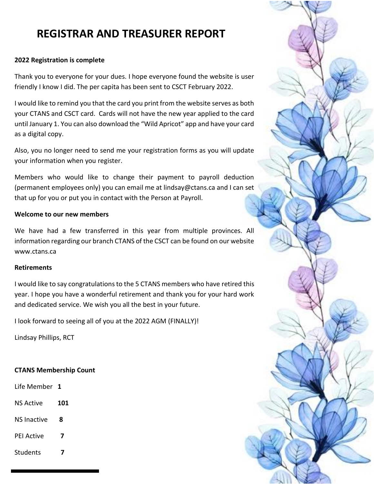## **REGISTRAR AND TREASURER REPORT**

### **2022 Registration is complete**

Thank you to everyone for your dues. I hope everyone found the website is user friendly I know I did. The per capita has been sent to CSCT February 2022.

I would like to remind you that the card you print from the website serves as both your CTANS and CSCT card. Cards will not have the new year applied to the card until January 1. You can also download the "Wild Apricot" app and have your card as a digital copy.

Also, you no longer need to send me your registration forms as you will update your information when you register.

Members who would like to change their payment to payroll deduction (permanent employees only) you can email me at lindsay@ctans.ca and I can set that up for you or put you in contact with the Person at Payroll.

### **Welcome to our new members**

We have had a few transferred in this year from multiple provinces. All information regarding our branch CTANS of the CSCT can be found on our website www.ctans.ca

### **Retirements**

I would like to say congratulations to the 5 CTANS members who have retired this year. I hope you have a wonderful retirement and thank you for your hard work and dedicated service. We wish you all the best in your future.

I look forward to seeing all of you at the 2022 AGM (FINALLY)!

Lindsay Phillips, RCT

### **CTANS Membership Count**

Life Member **1**

- NS Active **101**
- NS Inactive **8**
- PEI Active **7**
- Students **7**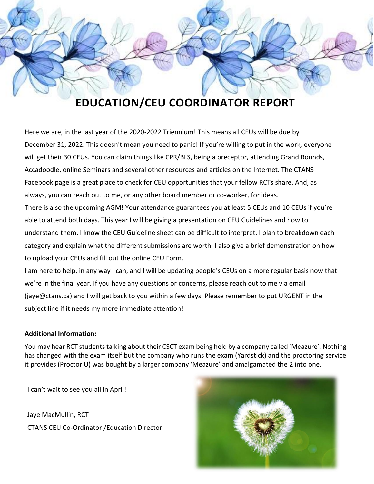

# **EDUCATION/CEU COORDINATOR REPORT**

Here we are, in the last year of the 2020-2022 Triennium! This means all CEUs will be due by December 31, 2022. This doesn't mean you need to panic! If you're willing to put in the work, everyone will get their 30 CEUs. You can claim things like CPR/BLS, being a preceptor, attending Grand Rounds, Accadoodle, online Seminars and several other resources and articles on the Internet. The CTANS Facebook page is a great place to check for CEU opportunities that your fellow RCTs share. And, as always, you can reach out to me, or any other board member or co-worker, for ideas. There is also the upcoming AGM! Your attendance guarantees you at least 5 CEUs and 10 CEUs if you're able to attend both days. This year I will be giving a presentation on CEU Guidelines and how to understand them. I know the CEU Guideline sheet can be difficult to interpret. I plan to breakdown each category and explain what the different submissions are worth. I also give a brief demonstration on how to upload your CEUs and fill out the online CEU Form.

I am here to help, in any way I can, and I will be updating people's CEUs on a more regular basis now that we're in the final year. If you have any questions or concerns, please reach out to me via email (jaye@ctans.ca) and I will get back to you within a few days. Please remember to put URGENT in the subject line if it needs my more immediate attention!

#### **Additional Information:**

You may hear RCT students talking about their CSCT exam being held by a company called 'Meazure'. Nothing has changed with the exam itself but the company who runs the exam (Yardstick) and the proctoring service it provides (Proctor U) was bought by a larger company 'Meazure' and amalgamated the 2 into one.

I can't wait to see you all in April!

Jaye MacMullin, RCT CTANS CEU Co-Ordinator /Education Director

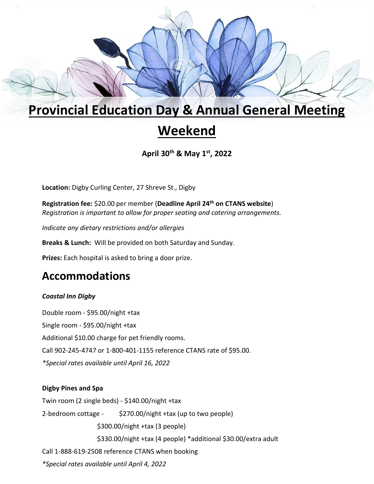# **Provincial Education Day & Annual General Meeting**

# **Weekend**

**April 30th & May 1st, 2022**

**Location:** Digby Curling Center, 27 Shreve St., Digby

**Registration fee:** \$20.00 per member (**Deadline April 24th on CTANS website**) *Registration is important to allow for proper seating and catering arrangements.*

*Indicate any dietary restrictions and/or allergies*

**Breaks & Lunch:** Will be provided on both Saturday and Sunday.

**Prizes:** Each hospital is asked to bring a door prize.

### **Accommodations**

### *Coastal Inn Digby*

Double room - \$95.00/night +tax Single room - \$95.00/night +tax Additional \$10.00 charge for pet friendly rooms. Call 902-245-4747 or 1-800-401-1155 reference CTANS rate of \$95.00. *\*Special rates available until April 16, 2022*

### **Digby Pines and Spa**

Twin room (2 single beds) - \$140.00/night +tax 2-bedroom cottage - \$270.00/night +tax (up to two people) \$300.00/night +tax (3 people) \$330.00/night +tax (4 people) \*additional \$30.00/extra adult Call 1-888-619-2508 reference CTANS when booking *\*Special rates available until April 4, 2022*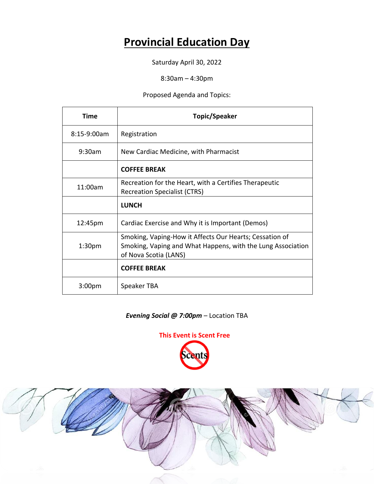## **Provincial Education Day**

Saturday April 30, 2022

8:30am – 4:30pm

Proposed Agenda and Topics:

| Time               | <b>Topic/Speaker</b>                                                                                                                            |  |  |
|--------------------|-------------------------------------------------------------------------------------------------------------------------------------------------|--|--|
| $8:15-9:00am$      | Registration                                                                                                                                    |  |  |
| $9:30$ am          | New Cardiac Medicine, with Pharmacist                                                                                                           |  |  |
|                    | <b>COFFEE BREAK</b>                                                                                                                             |  |  |
| 11:00am            | Recreation for the Heart, with a Certifies Therapeutic<br><b>Recreation Specialist (CTRS)</b>                                                   |  |  |
|                    | <b>LUNCH</b>                                                                                                                                    |  |  |
| 12:45pm            | Cardiac Exercise and Why it is Important (Demos)                                                                                                |  |  |
| 1:30 <sub>pm</sub> | Smoking, Vaping-How it Affects Our Hearts; Cessation of<br>Smoking, Vaping and What Happens, with the Lung Association<br>of Nova Scotia (LANS) |  |  |
|                    | <b>COFFEE BREAK</b>                                                                                                                             |  |  |
| $3:00p$ m          | Speaker TBA                                                                                                                                     |  |  |

### *Evening Social @ 7:00pm –* Location TBA



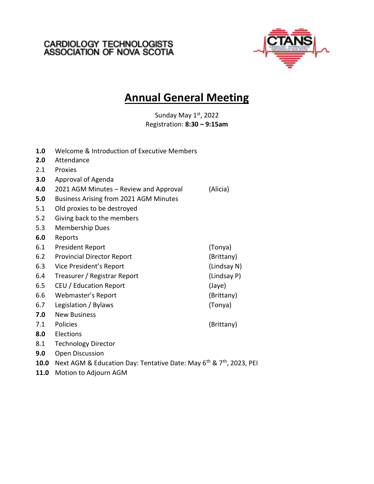# CARDIOLOGY TECHNOLOGISTS<br>ASSOCIATION OF NOVA SCOTIA



## **Annual General Meeting**

Sunday May 1st, 2022 Registration: **8:30 – 9:15am**

| 1.0  | Welcome & Introduction of Executive Members                                                 |             |
|------|---------------------------------------------------------------------------------------------|-------------|
| 2.0  | Attendance                                                                                  |             |
| 2.1  | Proxies                                                                                     |             |
| 3.0  | Approval of Agenda                                                                          |             |
| 4.0  | 2021 AGM Minutes - Review and Approval                                                      | (Alicia)    |
| 5.0  | <b>Business Arising from 2021 AGM Minutes</b>                                               |             |
| 5.1  | Old proxies to be destroyed                                                                 |             |
| 5.2  | Giving back to the members                                                                  |             |
| 5.3  | Membership Dues                                                                             |             |
| 6.0  | Reports                                                                                     |             |
| 6.1  | <b>President Report</b>                                                                     | (Tonya)     |
| 6.2  | <b>Provincial Director Report</b>                                                           | (Brittany)  |
| 6.3  | Vice President's Report                                                                     | (Lindsay N) |
| 6.4  | Treasurer / Registrar Report                                                                | (Lindsay P) |
| 6.5  | CEU / Education Report                                                                      | (Jaye)      |
| 6.6  | Webmaster's Report                                                                          | (Brittany)  |
| 6.7  | Legislation / Bylaws                                                                        | (Tonya)     |
| 7.0  | <b>New Business</b>                                                                         |             |
| 7.1  | Policies                                                                                    | (Brittany)  |
| 8.0  | Elections                                                                                   |             |
| 8.1  | <b>Technology Director</b>                                                                  |             |
| 9.0  | Open Discussion                                                                             |             |
| 10.0 | Next AGM & Education Day: Tentative Date: May 6 <sup>th</sup> & 7 <sup>th</sup> , 2023, PEI |             |
| 11.0 | Motion to Adjourn AGM                                                                       |             |